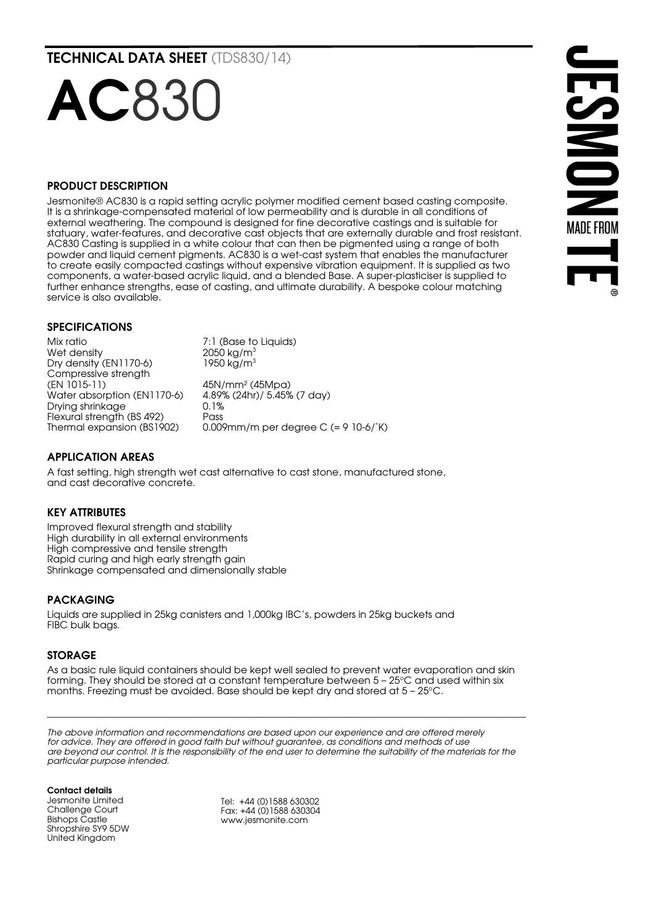TECHNICAL DATA SHEET (TDS830/14)

# **AC830**

#### PRODUCT DESCRIPTION

Jesmonite® AC830 is a rapid setting acrylic polymer modified cement based casting composite. It is a shrinkage-compensated material of low permeability and is durable in all conditions of external weathering. The compound is designed for fine decorative castings and is suitable for statuary, water-features, and decorative cast objects that are externally durable and frost resistant. AC830 Casting is supplied in a white colour that can then be pigmented using a range of both powder and liquid cement pigments. AC830 is a wet-cast system that enables the manufacturer to create easily compacted castings without expensive vibration equipment. It is supplied as two components, a water-based acrylic liquid, and a blended Base. A super-plasticiser is supplied to further enhance strengths, ease of casting, and ultimate durability. A bespoke colour matching service is also available.

### SPECIFICATIONS

Mix ratio  $7:1$  (Base to Liquids)<br>Wet density  $2050 \text{ kg/m}^3$ Wet density Dry density (EN1170-6) 1950 kg/m<sup>3</sup> Compressive strength (EN 1015-11) 45N/mm<sup>2</sup> (45Mpa)<br>Water absorption (EN1170-6) 4.89% (24hr)/ 5.45% (7 day) Water absorption (EN1170-6) 4.89% (24hr)/ 5.45% (7 day) Drying shrinkage Flexural strength (BS 492) Pass<br>Thermal expansion (BS1902) 0.00  $0.009$ mm/m per degree C (= 9 10-6/ $\degree$ K)

## APPLICATION AREAS

A fast setting, high strength wet cast alternative to cast stone, manufactured stone, and cast decorative concrete.

#### KEY ATTRIBUTES

Improved flexural strength and stability High durability in all external environments High compressive and tensile strength Rapid curing and high early strength gain Shrinkage compensated and dimensionally stable

#### PACKAGING

Liquids are supplied in 25kg canisters and 1,000kg IBC's, powders in 25kg buckets and FIBC bulk bags.

#### STORAGE

As a basic rule liquid containers should be kept well sealed to prevent water evaporation and skin forming. They should be stored at a constant temperature between  $5-25^{\circ}$ C and used within six months. Freezing must be avoided. Base should be kept dry and stored at  $5 - 25^{\circ}$ C.

 $\_$  , and the state of the state of the state of the state of the state of the state of the state of the state of the state of the state of the state of the state of the state of the state of the state of the state of the

*The above information and recommendations are based upon our experience and are offered merely for advice. They are offered in good faith but without guarantee, as conditions and methods of use are beyond our control. It is the responsibility of the end user to determine the suitability of the materials for the particular purpose intended.*

Contact details Jesmonite Limited Challenge Court Bishops Castle Shropshire SY9 5DW United Kingdom

Tel: +44 (0)1588 630302 Fax: +44 (0)1588 630304 www.jesmonite.com